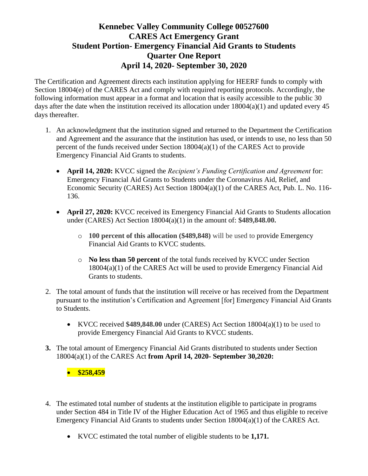The Certification and Agreement directs each institution applying for HEERF funds to comply with Section 18004(e) of the CARES Act and comply with required reporting protocols. Accordingly, the following information must appear in a format and location that is easily accessible to the public 30 days after the date when the institution received its allocation under  $18004(a)(1)$  and updated every 45 days thereafter.

- 1. An acknowledgment that the institution signed and returned to the Department the Certification and Agreement and the assurance that the institution has used, or intends to use, no less than 50 percent of the funds received under Section 18004(a)(1) of the CARES Act to provide Emergency Financial Aid Grants to students.
	- **April 14, 2020:** KVCC signed the *Recipient's Funding Certification and Agreement* for: Emergency Financial Aid Grants to Students under the Coronavirus Aid, Relief, and Economic Security (CARES) Act Section 18004(a)(1) of the CARES Act, Pub. L. No. 116- 136.
	- **April 27, 2020:** KVCC received its Emergency Financial Aid Grants to Students allocation under (CARES) Act Section 18004(a)(1) in the amount of: **\$489,848.00.** 
		- o **100 percent of this allocation (\$489,848)** will be used to provide Emergency Financial Aid Grants to KVCC students.
		- o **No less than 50 percent** of the total funds received by KVCC under Section 18004(a)(1) of the CARES Act will be used to provide Emergency Financial Aid Grants to students.
- 2. The total amount of funds that the institution will receive or has received from the Department pursuant to the institution's Certification and Agreement [for] Emergency Financial Aid Grants to Students.
	- KVCC received **\$489,848.00** under (CARES) Act Section 18004(a)(1) to be used to provide Emergency Financial Aid Grants to KVCC students.
- **3.** The total amount of Emergency Financial Aid Grants distributed to students under Section 18004(a)(1) of the CARES Act **from April 14, 2020- September 30,2020:**

• **\$258,459**

- 4. The estimated total number of students at the institution eligible to participate in programs under Section 484 in Title IV of the Higher Education Act of 1965 and thus eligible to receive Emergency Financial Aid Grants to students under Section 18004(a)(1) of the CARES Act.
	- KVCC estimated the total number of eligible students to be **1,171.**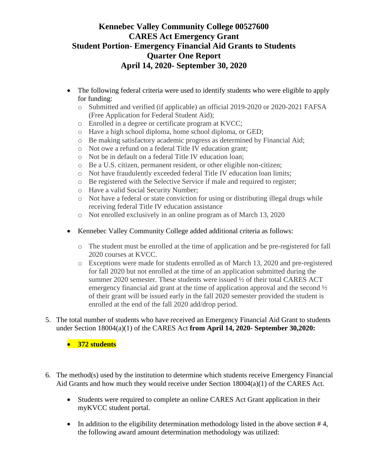- The following federal criteria were used to identify students who were eligible to apply for funding:
	- o Submitted and verified (if applicable) an official 2019-2020 or 2020-2021 FAFSA (Free Application for Federal Student Aid);
	- o Enrolled in a degree or certificate program at KVCC;
	- o Have a high school diploma, home school diploma, or GED;
	- o Be making satisfactory academic progress as determined by Financial Aid;
	- o Not owe a refund on a federal Title IV education grant;
	- o Not be in default on a federal Title IV education loan;
	- o Be a U.S. citizen, permanent resident, or other eligible non-citizen;
	- o Not have fraudulently exceeded federal Title IV education loan limits;
	- o Be registered with the Selective Service if male and required to register;
	- o Have a valid Social Security Number;
	- o Not have a federal or state conviction for using or distributing illegal drugs while receiving federal Title IV education assistance
	- o Not enrolled exclusively in an online program as of March 13, 2020
- Kennebec Valley Community College added additional criteria as follows:
	- o The student must be enrolled at the time of application and be pre-registered for fall 2020 courses at KVCC.
	- o Exceptions were made for students enrolled as of March 13, 2020 and pre-registered for fall 2020 but not enrolled at the time of an application submitted during the summer 2020 semester. These students were issued  $\frac{1}{2}$  of their total CARES ACT emergency financial aid grant at the time of application approval and the second ½ of their grant will be issued early in the fall 2020 semester provided the student is enrolled at the end of the fall 2020 add/drop period.
- 5. The total number of students who have received an Emergency Financial Aid Grant to students under Section 18004(a)(1) of the CARES Act **from April 14, 2020- September 30,2020:**

• **372 students**

- 6. The method(s) used by the institution to determine which students receive Emergency Financial Aid Grants and how much they would receive under Section 18004(a)(1) of the CARES Act.
	- Students were required to complete an online CARES Act Grant application in their myKVCC student portal.
	- In addition to the eligibility determination methodology listed in the above section #4, the following award amount determination methodology was utilized: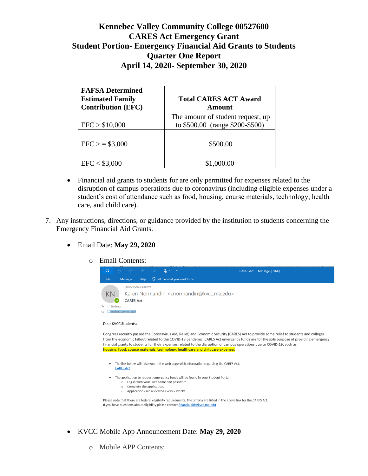| <b>FAFSA Determined</b><br><b>Estimated Family</b><br><b>Contribution (EFC)</b> | <b>Total CARES ACT Award</b><br>Amount                               |
|---------------------------------------------------------------------------------|----------------------------------------------------------------------|
| EFC > \$10,000                                                                  | The amount of student request, up<br>to \$500.00 (range \$200-\$500) |
| $EFC$ > = \$3,000                                                               | \$500.00                                                             |
| EFC < \$3,000                                                                   | \$1,000.00                                                           |

- Financial aid grants to students for are only permitted for expenses related to the disruption of campus operations due to coronavirus (including eligible expenses under a student's cost of attendance such as food, housing, course materials, technology, health care, and child care).
- 7. Any instructions, directions, or guidance provided by the institution to students concerning the Emergency Financial Aid Grants.
	- Email Date: **May 29, 2020**
		- o Email Contents:

| 日                      |                               |                       |  |                                                                   | CARES Act - Message (HTML) |
|------------------------|-------------------------------|-----------------------|--|-------------------------------------------------------------------|----------------------------|
| File                   | Message                       |                       |  | Help $\bigcirc$ Tell me what you want to do                       |                            |
| KN<br>◯ Students<br>To | <b>CARES Act</b>              | Fri 5/29/2020 3:18 PM |  | Karen Normandin <knormandin@kvcc.me.edu></knormandin@kvcc.me.edu> |                            |
|                        | <b>Student Services Staff</b> |                       |  |                                                                   |                            |

### Dear KVCC Students:

Congress recently passed the Coronavirus Aid, Relief, and Economic Security (CARES) Act to provide some relief to students and colleges from the economic fallout related to the COVID-19 pandemic. CARES Act emergency funds are for the sole purpose of providing emergency financial grants to students for their expenses related to the disruption of campus operations due to COVID-19, such as housing, food, course materials, technology, healthcare and childcare expenses

- . The link below will take you to the web page with information regarding the CARES Act. **CARES Act**
- The application to request emergency funds will be found in your Student Portal. o Log in with your user name and password.
	- o Complete the application.
	- o Applications are reviewed every 2 weeks.

Please note that there are federal eligibility requirements. The criteria are listed in the above link for the CARES Act. If you have questions about eligibility please contact financialaid@kvcc.me.edu

- KVCC Mobile App Announcement Date: **May 29, 2020**
	- o Mobile APP Contents: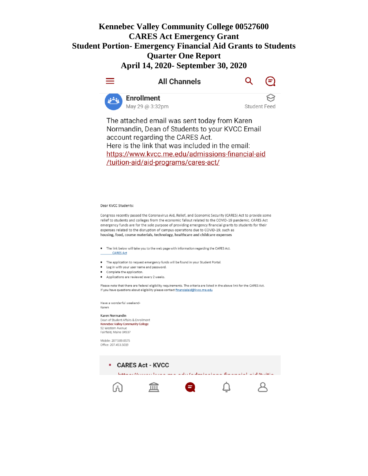





**Student Feed** 

The attached email was sent today from Karen Normandin, Dean of Students to your KVCC Email account regarding the CARES Act. Here is the link that was included in the email: https://www.kvcc.me.edu/admissions-financial-aid /tuition-aid/aid-programs/cares-act/

#### Dear KVCC Students:

Congress recently passed the Coronavirus Aid, Relief, and Economic Security (CARES) Act to provide some relief to students and colleges from the economic fallout related to the COVID-19 pandemic. CARES Act emergency funds are for the sole purpose of providing emergency financial grants to students for their expenses related to the disruption of campus operations due to COVID-19, such as housing, food, course materials, technology, healthcare and childcare expenses

- The link below will take you to the web page with information regarding the CARES Act.
	- **CARES Act**
- The application to request emergency funds will be found in your Student Portal.
- Log in with your user name and password.
- Complete the application.
- Applications are reviewed every 2 weeks.

Please note that there are federal eligibility requirements. The criteria are listed in the above link for the CARES Act. If you have questions about eligibility please contact financialaid@kvcc.me.edu

Have a wonderful weekend-Karen

#### Karen Normandin

Dean of Student Affairs & Enrollment Kennebec Valley Community College 92 Western Av Fairfield, Maine 04937

Mobile: 207.509.0575 Office: 207.453.5019

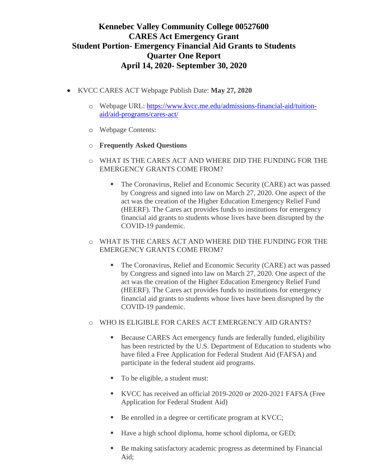- KVCC CARES ACT Webpage Publish Date: **May 27, 2020**
	- o Webpage URL: [https://www.kvcc.me.edu/admissions-financial-aid/tuition](https://www.kvcc.me.edu/admissions-financial-aid/tuition-aid/aid-programs/cares-act/)[aid/aid-programs/cares-act/](https://www.kvcc.me.edu/admissions-financial-aid/tuition-aid/aid-programs/cares-act/)
	- o Webpage Contents:
	- o **Frequently Asked Questions**
	- o WHAT IS THE CARES ACT AND WHERE DID THE FUNDING FOR THE EMERGENCY GRANTS COME FROM?
		- The Coronavirus, Relief and Economic Security (CARE) act was passed by Congress and signed into law on March 27, 2020. One aspect of the act was the creation of the Higher Education Emergency Relief Fund (HEERF). The Cares act provides funds to institutions for emergency financial aid grants to students whose lives have been disrupted by the COVID-19 pandemic.
	- o WHAT IS THE CARES ACT AND WHERE DID THE FUNDING FOR THE EMERGENCY GRANTS COME FROM?
		- The Coronavirus, Relief and Economic Security (CARE) act was passed by Congress and signed into law on March 27, 2020. One aspect of the act was the creation of the Higher Education Emergency Relief Fund (HEERF). The Cares act provides funds to institutions for emergency financial aid grants to students whose lives have been disrupted by the COVID-19 pandemic.
	- o WHO IS ELIGIBLE FOR CARES ACT EMERGENCY AID GRANTS?
		- **EXECUTE:** Because CARES Act emergency funds are federally funded, eligibility has been restricted by the U.S. Department of Education to students who have filed a Free Application for Federal Student Aid (FAFSA) and participate in the federal student aid programs.
		- To be eligible, a student must:
		- KVCC has received an official 2019-2020 or 2020-2021 FAFSA (Free Application for Federal Student Aid)
		- Be enrolled in a degree or certificate program at KVCC;
		- Have a high school diploma, home school diploma, or GED;
		- Be making satisfactory academic progress as determined by Financial Aid;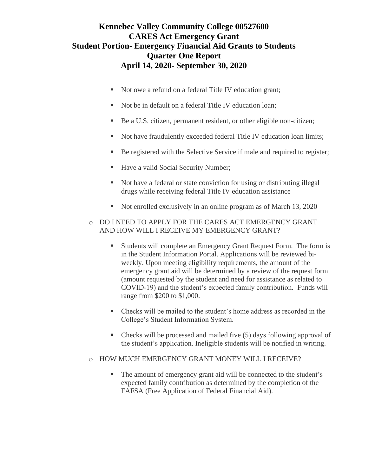- Not owe a refund on a federal Title IV education grant;
- Not be in default on a federal Title IV education loan;
- Be a U.S. citizen, permanent resident, or other eligible non-citizen;
- Not have fraudulently exceeded federal Title IV education loan limits;
- Be registered with the Selective Service if male and required to register;
- Have a valid Social Security Number;
- Not have a federal or state conviction for using or distributing illegal drugs while receiving federal Title IV education assistance
- Not enrolled exclusively in an online program as of March 13, 2020
- o DO I NEED TO APPLY FOR THE CARES ACT EMERGENCY GRANT AND HOW WILL I RECEIVE MY EMERGENCY GRANT?
	- Students will complete an Emergency Grant Request Form. The form is in the [Student Information Portal.](http://my.kvcc.me.edu/) Applications will be reviewed biweekly. Upon meeting eligibility requirements, the amount of the emergency grant aid will be determined by a review of the request form (amount requested by the student and need for assistance as related to COVID-19) and the student's expected family contribution. Funds will range from \$200 to \$1,000.
	- Checks will be mailed to the student's home address as recorded in the College's Student Information System.
	- Checks will be processed and mailed five (5) days following approval of the student's application. Ineligible students will be notified in writing.
- o HOW MUCH EMERGENCY GRANT MONEY WILL I RECEIVE?
	- The amount of emergency grant aid will be connected to the student's expected family contribution as determined by the completion of the FAFSA (Free Application of Federal Financial Aid).